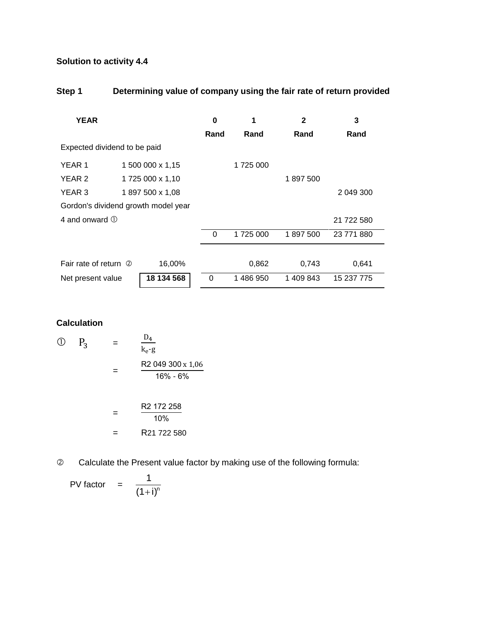# **Solution to activity 4.4**

## **Step 1 Determining value of company using the fair rate of return provided**

| <b>YEAR</b>                         |                  |                 | $\bf{0}$ | 1         | $\mathbf{2}$ | 3          |  |
|-------------------------------------|------------------|-----------------|----------|-----------|--------------|------------|--|
|                                     |                  |                 | Rand     | Rand      | Rand         | Rand       |  |
| Expected dividend to be paid        |                  |                 |          |           |              |            |  |
| YEAR 1                              | 1 500 000 x 1,15 |                 |          | 1725 000  |              |            |  |
| YEAR 2                              | 1725 000 x 1,10  |                 |          |           | 1897500      |            |  |
| YEAR 3                              |                  | 1897 500 x 1,08 |          |           |              | 2 049 300  |  |
| Gordon's dividend growth model year |                  |                 |          |           |              |            |  |
| 4 and onward $\odot$                |                  |                 |          |           |              | 21 722 580 |  |
|                                     |                  |                 | $\Omega$ | 1725 000  | 1897500      | 23 771 880 |  |
|                                     |                  |                 |          |           |              |            |  |
| Fair rate of return 2               |                  | 16,00%          |          | 0,862     | 0,743        | 0,641      |  |
| Net present value                   |                  | 18 134 568      | 0        | 1 486 950 | 1 409 843    | 15 237 775 |  |

### **Calculation**

$$
\begin{array}{rcl}\n\text{(D)} & P_3 & = & \frac{\text{D}_4}{\text{k}_e \cdot \text{g}} \\
& = & \frac{\text{R2 049 300 x 1,06}}{16\% \cdot 6\%} \\
& = & \frac{\text{R2 172 258}}{10\%} \\
& = & \text{R21 722 580}\n\end{array}
$$

Calculate the Present value factor by making use of the following formula:

$$
PV factor = \frac{1}{(1+i)^n}
$$